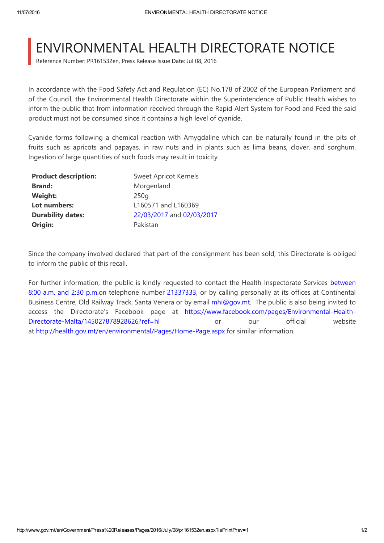## ENVIRONMENTAL HEALTH DIRECTORATE NOTICE

Reference Number: PR161532en, Press Release Issue Date: Jul 08, 2016

In accordance with the Food Safety Act and Regulation (EC) No.178 of 2002 of the European Parliament and of the Council, the Environmental Health Directorate within the Superintendence of Public Health wishes to inform the public that from information received through the Rapid Alert System for Food and Feed the said product must not be consumed since it contains a high level of cyanide.

Cyanide forms following a chemical reaction with Amygdaline which can be naturally found in the pits of fruits such as apricots and papayas, in raw nuts and in plants such as lima beans, clover, and sorghum. Ingestion of large quantities of such foods may result in toxicity

| <b>Product description:</b> | <b>Sweet Apricot Kernels</b> |
|-----------------------------|------------------------------|
| <b>Brand:</b>               | Morgenland                   |
| <b>Weight:</b>              | 250q                         |
| Lot numbers:                | L160571 and L160369          |
| <b>Durability dates:</b>    | 22/03/2017 and 02/03/2017    |
| Origin:                     | Pakistan                     |

Since the company involved declared that part of the consignment has been sold, this Directorate is obliged to inform the public of this recall.

For further information, the public is kindly requested to contact the Health Inspectorate Services between 8:00 a.m. and 2:30 p.m.on telephone number 21337333, or by calling personally at its offices at Continental Business Centre, Old Railway Track, Santa Venera or by email [mhi@gov.mt.](mailto:mhi@gov.mt) The public is also being invited to access the Directorate's Facebook page at [https://www.facebook.com/pages/Environmental‐Health‐](https://www.facebook.com/pages/Environmental-Health-Directorate-Malta/145027878928626?ref=hl) Directorate-Malta/145027878928626?ref=hl or our official website at [http://health.gov.mt/en/environmental/Pages/Home‐Page.aspx](http://health.gov.mt/en/environmental/Pages/Home-Page.aspx) for similar information.